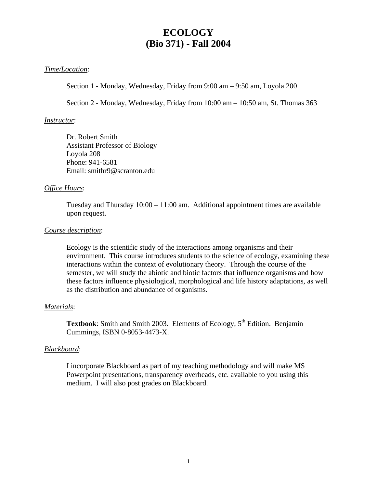# **ECOLOGY (Bio 371) - Fall 2004**

### *Time/Location*:

Section 1 - Monday, Wednesday, Friday from 9:00 am – 9:50 am, Loyola 200

Section 2 - Monday, Wednesday, Friday from 10:00 am – 10:50 am, St. Thomas 363

#### *Instructor*:

Dr. Robert Smith Assistant Professor of Biology Loyola 208 Phone: 941-6581 Email: smithr9@scranton.edu

#### *Office Hours*:

Tuesday and Thursday 10:00 – 11:00 am. Additional appointment times are available upon request.

#### *Course description*:

Ecology is the scientific study of the interactions among organisms and their environment. This course introduces students to the science of ecology, examining these interactions within the context of evolutionary theory. Through the course of the semester, we will study the abiotic and biotic factors that influence organisms and how these factors influence physiological, morphological and life history adaptations, as well as the distribution and abundance of organisms.

#### *Materials*:

**Textbook**: Smith and Smith 2003. Elements of Ecology, 5<sup>th</sup> Edition. Benjamin Cummings, ISBN 0-8053-4473-X.

#### *Blackboard*:

I incorporate Blackboard as part of my teaching methodology and will make MS Powerpoint presentations, transparency overheads, etc. available to you using this medium. I will also post grades on Blackboard.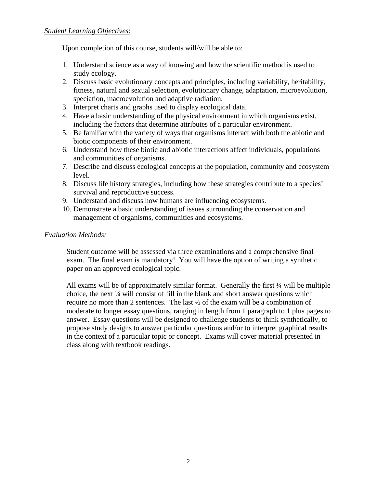Upon completion of this course, students will/will be able to:

- 1. Understand science as a way of knowing and how the scientific method is used to study ecology.
- 2. Discuss basic evolutionary concepts and principles, including variability, heritability, fitness, natural and sexual selection, evolutionary change, adaptation, microevolution, speciation, macroevolution and adaptive radiation.
- 3. Interpret charts and graphs used to display ecological data.
- 4. Have a basic understanding of the physical environment in which organisms exist, including the factors that determine attributes of a particular environment.
- 5. Be familiar with the variety of ways that organisms interact with both the abiotic and biotic components of their environment.
- 6. Understand how these biotic and abiotic interactions affect individuals, populations and communities of organisms.
- 7. Describe and discuss ecological concepts at the population, community and ecosystem level.
- 8. Discuss life history strategies, including how these strategies contribute to a species' survival and reproductive success.
- 9. Understand and discuss how humans are influencing ecosystems.
- 10. Demonstrate a basic understanding of issues surrounding the conservation and management of organisms, communities and ecosystems.

# *Evaluation Methods:*

Student outcome will be assessed via three examinations and a comprehensive final exam. The final exam is mandatory! You will have the option of writing a synthetic paper on an approved ecological topic.

All exams will be of approximately similar format. Generally the first ¼ will be multiple choice, the next ¼ will consist of fill in the blank and short answer questions which require no more than 2 sentences. The last ½ of the exam will be a combination of moderate to longer essay questions, ranging in length from 1 paragraph to 1 plus pages to answer. Essay questions will be designed to challenge students to think synthetically, to propose study designs to answer particular questions and/or to interpret graphical results in the context of a particular topic or concept. Exams will cover material presented in class along with textbook readings.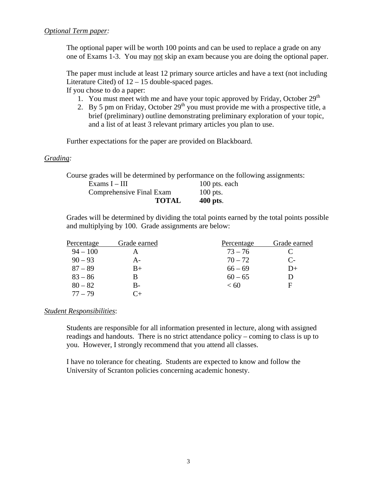The optional paper will be worth 100 points and can be used to replace a grade on any one of Exams 1-3. You may not skip an exam because you are doing the optional paper.

The paper must include at least 12 primary source articles and have a text (not including Literature Cited) of 12 – 15 double-spaced pages. If you chose to do a paper:

- 1. You must meet with me and have your topic approved by Friday, October  $29<sup>th</sup>$
- 2. By 5 pm on Friday, October  $29<sup>th</sup>$  you must provide me with a prospective title, a brief (preliminary) outline demonstrating preliminary exploration of your topic, and a list of at least 3 relevant primary articles you plan to use.

Further expectations for the paper are provided on Blackboard.

# *Grading:*

Course grades will be determined by performance on the following assignments:

| Exams $I – III$                 | 100 pts. each |
|---------------------------------|---------------|
| <b>Comprehensive Final Exam</b> | $100$ pts.    |
| <b>TOTAL</b>                    | $400$ pts.    |

Grades will be determined by dividing the total points earned by the total points possible and multiplying by 100. Grade assignments are below:

| Percentage | Grade earned | Percentage | Grade earned |
|------------|--------------|------------|--------------|
| $94 - 100$ |              | $73 - 76$  |              |
| $90 - 93$  | A -          | $70 - 72$  | $C_{\tau}$   |
| $87 - 89$  | $B+$         | $66 - 69$  | $D+$         |
| $83 - 86$  |              | $60 - 65$  | D            |
| $80 - 82$  | B-           | < 60       | F            |
| $77 - 79$  |              |            |              |

#### *Student Responsibilities*:

Students are responsible for all information presented in lecture, along with assigned readings and handouts. There is no strict attendance policy – coming to class is up to you. However, I strongly recommend that you attend all classes.

I have no tolerance for cheating. Students are expected to know and follow the University of Scranton policies concerning academic honesty.